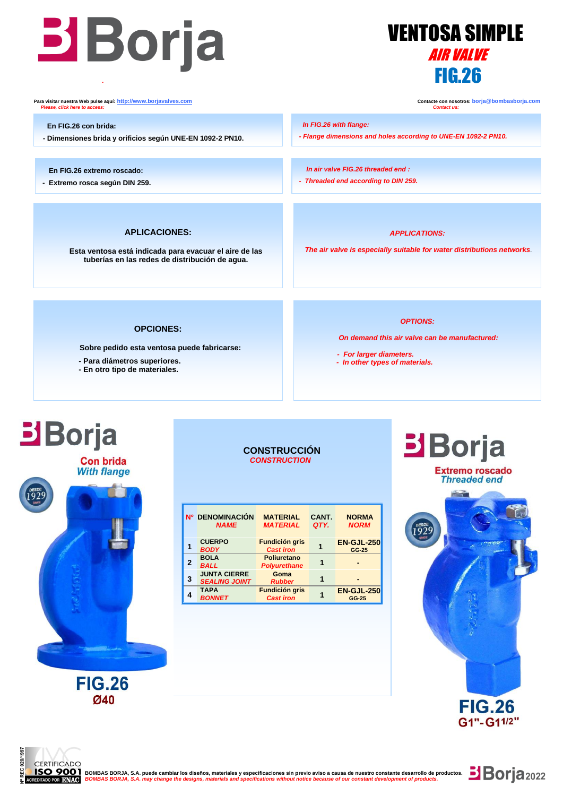



**Para visitar nuestra Web pulse aquí:** <u>http://www.borjavalves.com</u> **Contacte con nosotros: borja** @bombasborja.com **Contacte con nosotros: borja** @bombasborja.com **Contacte con nosotros: borja** @bombasborja.com **Contact u**  *Please, click here to access: Contact us:*

 **En FIG.26 con brida:**

**- Dimensiones brida y orificios según UNE-EN 1092-2 PN10.**

 **En FIG.26 extremo roscado:**

**- Extremo rosca según DIN 259.**

 *In FIG.26 with flange:*

 *In air valve FIG.26 threaded end : - Threaded end according to DIN 259.*

### **APLICACIONES:**

**Esta ventosa está indicada para evacuar el aire de las tuberías en las redes de distribución de agua.**

*APPLICATIONS:*

*- Flange dimensions and holes according to UNE-EN 1092-2 PN10.* 

*The air valve is especially suitable for water distributions networks.*

### **OPCIONES:**

**Sobre pedido esta ventosa puede fabricarse:**

- **- Para diámetros superiores.**
- **- En otro tipo de materiales.**

### *OPTIONS:*

*On demand this air valve can be manufactured:*

- *For larger diameters.*
- *In other types of materials.*

# **Borja**

i<br>I

**Con brida With flange** 



**FIG.26 Ø40** 

### **CONSTRUCCIÓN**  *CONSTRUCTION*

|              | Nº DENOMINACIÓN<br><b>NAME</b>              | <b>MATERIAL</b><br><b>MATERIAL</b>        | CANT.<br>QTY. | <b>NORMA</b><br><b>NORM</b> |
|--------------|---------------------------------------------|-------------------------------------------|---------------|-----------------------------|
|              | <b>CUERPO</b><br><b>BODY</b>                | <b>Fundición gris</b><br><b>Cast iron</b> |               | <b>EN-GJL-250</b><br>GG-25  |
| $\mathbf{2}$ | <b>BOLA</b><br><b>BALL</b>                  | <b>Poliuretano</b><br><b>Polyurethane</b> | 1             |                             |
| 3            | <b>JUNTA CIERRE</b><br><b>SEALING JOINT</b> | Goma<br><b>Rubber</b>                     |               |                             |
|              | <b>TAPA</b><br><b>BONNET</b>                | <b>Fundición gris</b><br><b>Cast iron</b> |               | <b>EN-GJL-250</b><br>GG-25  |



**Borja**